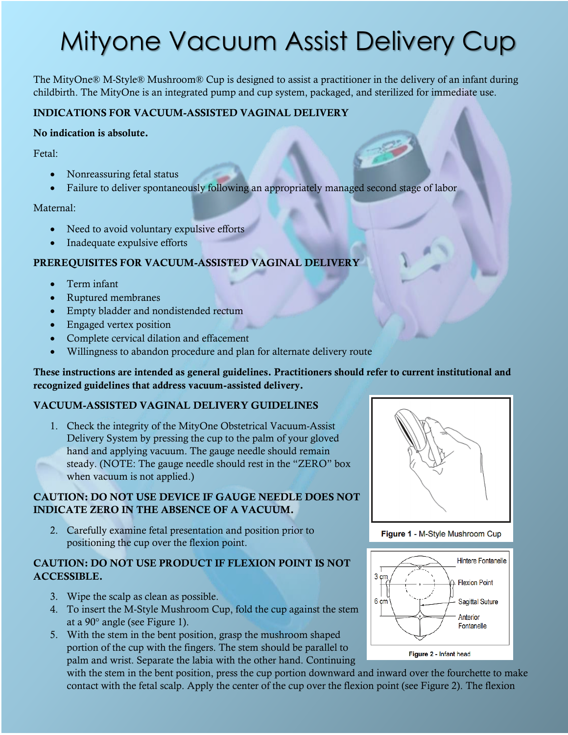# Mityone Vacuum Assist Delivery Cup

The MityOne® M-Style® Mushroom® Cup is designed to assist a practitioner in the delivery of an infant during childbirth. The MityOne is an integrated pump and cup system, packaged, and sterilized for immediate use.

## **INDICATIONS FOR VACUUM-ASSISTED VAGINAL DELIVERY**

#### **No indication is absolute.**

Fetal:

- Nonreassuring fetal status
- Failure to deliver spontaneously following an appropriately managed second stage of labor

#### Maternal:

- Need to avoid voluntary expulsive efforts
- Inadequate expulsive efforts

#### **PREREQUISITES FOR VACUUM-ASSISTED VAGINAL DELIVERY**

- Term infant
- Ruptured membranes
- Empty bladder and nondistended rectum
- Engaged vertex position
- Complete cervical dilation and effacement
- Willingness to abandon procedure and plan for alternate delivery route

#### **These instructions are intended as general guidelines. Practitioners should refer to current institutional and recognized guidelines that address vacuum-assisted delivery.**

## **VACUUM-ASSISTED VAGINAL DELIVERY GUIDELINES**

1. Check the integrity of the MityOne Obstetrical Vacuum-Assist Delivery System by pressing the cup to the palm of your gloved hand and applying vacuum. The gauge needle should remain steady. (NOTE: The gauge needle should rest in the "ZERO" box when vacuum is not applied.)

## **CAUTION: DO NOT USE DEVICE IF GAUGE NEEDLE DOES NOT INDICATE ZERO IN THE ABSENCE OF A VACUUM.**

2. Carefully examine fetal presentation and position prior to positioning the cup over the flexion point.

## **CAUTION: DO NOT USE PRODUCT IF FLEXION POINT IS NOT ACCESSIBLE.**

- 3. Wipe the scalp as clean as possible.
- 4. To insert the M-Style Mushroom Cup, fold the cup against the stem at a 90° angle (see Figure 1).
- 5. With the stem in the bent position, grasp the mushroom shaped portion of the cup with the fingers. The stem should be parallel to palm and wrist. Separate the labia with the other hand. Continuing

with the stem in the bent position, press the cup portion downward and inward over the fourchette to make contact with the fetal scalp. Apply the center of the cup over the flexion point (see Figure 2). The flexion



Figure 1 - M-Style Mushroom Cup